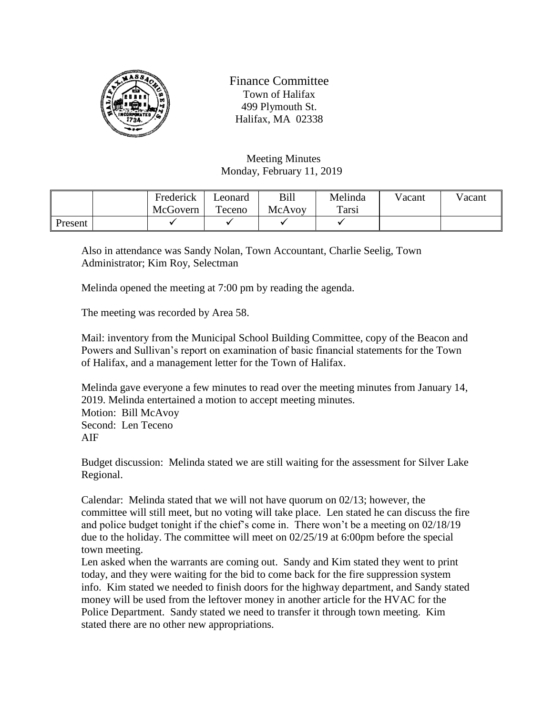

Finance Committee Town of Halifax 499 Plymouth St. Halifax, MA 02338

Meeting Minutes Monday, February 11, 2019

|         | Frederick | Leonard | Bill   | Melinda      | Vacant | Vacant |
|---------|-----------|---------|--------|--------------|--------|--------|
|         | McGovern  | Teceno  | McAvoy | <b>Tarsi</b> |        |        |
| Present |           |         |        |              |        |        |

Also in attendance was Sandy Nolan, Town Accountant, Charlie Seelig, Town Administrator; Kim Roy, Selectman

Melinda opened the meeting at 7:00 pm by reading the agenda.

The meeting was recorded by Area 58.

Mail: inventory from the Municipal School Building Committee, copy of the Beacon and Powers and Sullivan's report on examination of basic financial statements for the Town of Halifax, and a management letter for the Town of Halifax.

Melinda gave everyone a few minutes to read over the meeting minutes from January 14, 2019. Melinda entertained a motion to accept meeting minutes. Motion: Bill McAvoy Second: Len Teceno AIF

Budget discussion: Melinda stated we are still waiting for the assessment for Silver Lake Regional.

Calendar: Melinda stated that we will not have quorum on 02/13; however, the committee will still meet, but no voting will take place. Len stated he can discuss the fire and police budget tonight if the chief's come in. There won't be a meeting on 02/18/19 due to the holiday. The committee will meet on 02/25/19 at 6:00pm before the special town meeting.

Len asked when the warrants are coming out. Sandy and Kim stated they went to print today, and they were waiting for the bid to come back for the fire suppression system info. Kim stated we needed to finish doors for the highway department, and Sandy stated money will be used from the leftover money in another article for the HVAC for the Police Department. Sandy stated we need to transfer it through town meeting. Kim stated there are no other new appropriations.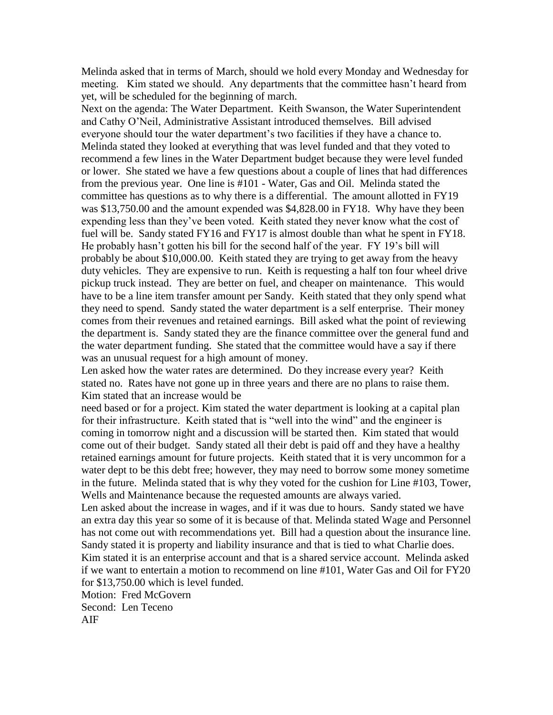Melinda asked that in terms of March, should we hold every Monday and Wednesday for meeting. Kim stated we should. Any departments that the committee hasn't heard from yet, will be scheduled for the beginning of march.

Next on the agenda: The Water Department. Keith Swanson, the Water Superintendent and Cathy O'Neil, Administrative Assistant introduced themselves. Bill advised everyone should tour the water department's two facilities if they have a chance to. Melinda stated they looked at everything that was level funded and that they voted to recommend a few lines in the Water Department budget because they were level funded or lower. She stated we have a few questions about a couple of lines that had differences from the previous year. One line is #101 - Water, Gas and Oil. Melinda stated the committee has questions as to why there is a differential. The amount allotted in FY19 was \$13,750.00 and the amount expended was \$4,828.00 in FY18. Why have they been expending less than they've been voted. Keith stated they never know what the cost of fuel will be. Sandy stated FY16 and FY17 is almost double than what he spent in FY18. He probably hasn't gotten his bill for the second half of the year. FY 19's bill will probably be about \$10,000.00. Keith stated they are trying to get away from the heavy duty vehicles. They are expensive to run. Keith is requesting a half ton four wheel drive pickup truck instead. They are better on fuel, and cheaper on maintenance. This would have to be a line item transfer amount per Sandy. Keith stated that they only spend what they need to spend. Sandy stated the water department is a self enterprise. Their money comes from their revenues and retained earnings. Bill asked what the point of reviewing the department is. Sandy stated they are the finance committee over the general fund and the water department funding. She stated that the committee would have a say if there was an unusual request for a high amount of money.

Len asked how the water rates are determined. Do they increase every year? Keith stated no. Rates have not gone up in three years and there are no plans to raise them. Kim stated that an increase would be

need based or for a project. Kim stated the water department is looking at a capital plan for their infrastructure. Keith stated that is "well into the wind" and the engineer is coming in tomorrow night and a discussion will be started then. Kim stated that would come out of their budget. Sandy stated all their debt is paid off and they have a healthy retained earnings amount for future projects. Keith stated that it is very uncommon for a water dept to be this debt free; however, they may need to borrow some money sometime in the future. Melinda stated that is why they voted for the cushion for Line #103, Tower, Wells and Maintenance because the requested amounts are always varied.

Len asked about the increase in wages, and if it was due to hours. Sandy stated we have an extra day this year so some of it is because of that. Melinda stated Wage and Personnel has not come out with recommendations yet. Bill had a question about the insurance line. Sandy stated it is property and liability insurance and that is tied to what Charlie does.

Kim stated it is an enterprise account and that is a shared service account. Melinda asked if we want to entertain a motion to recommend on line #101, Water Gas and Oil for FY20 for \$13,750.00 which is level funded.

Motion: Fred McGovern Second: Len Teceno AIF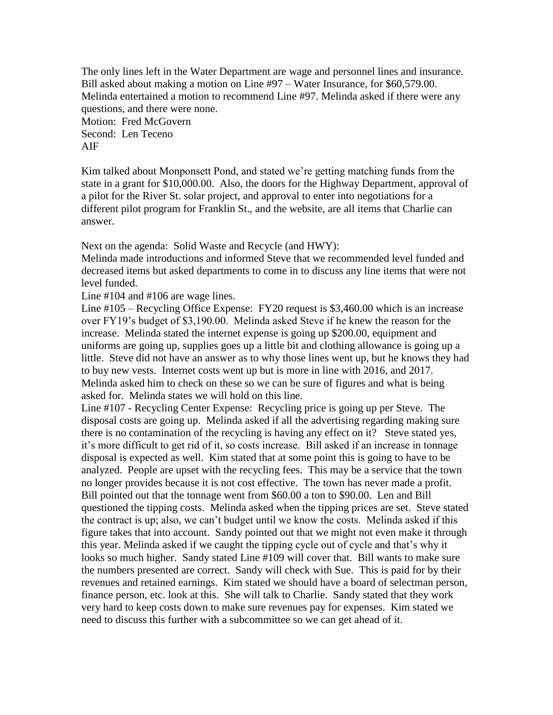The only lines left in the Water Department are wage and personnel lines and insurance. Bill asked about making a motion on Line #97 – Water Insurance, for \$60,579.00. Melinda entertained a motion to recommend Line #97. Melinda asked if there were any questions, and there were none. Motion: Fred McGovern Second: Len Teceno AIF

Kim talked about Monponsett Pond, and stated we're getting matching funds from the state in a grant for \$10,000.00. Also, the doors for the Highway Department, approval of a pilot for the River St. solar project, and approval to enter into negotiations for a different pilot program for Franklin St., and the website, are all items that Charlie can answer.

Next on the agenda: Solid Waste and Recycle (and HWY):

Melinda made introductions and informed Steve that we recommended level funded and decreased items but asked departments to come in to discuss any line items that were not level funded.

Line #104 and #106 are wage lines.

Line #105 – Recycling Office Expense: FY20 request is \$3,460.00 which is an increase over FY19's budget of \$3,190.00. Melinda asked Steve if he knew the reason for the increase. Melinda stated the internet expense is going up \$200.00, equipment and uniforms are going up, supplies goes up a little bit and clothing allowance is going up a little. Steve did not have an answer as to why those lines went up, but he knows they had to buy new vests. Internet costs went up but is more in line with 2016, and 2017. Melinda asked him to check on these so we can be sure of figures and what is being asked for. Melinda states we will hold on this line.

Line #107 - Recycling Center Expense: Recycling price is going up per Steve. The disposal costs are going up. Melinda asked if all the advertising regarding making sure there is no contamination of the recycling is having any effect on it? Steve stated yes, it's more difficult to get rid of it, so costs increase. Bill asked if an increase in tonnage disposal is expected as well. Kim stated that at some point this is going to have to be analyzed. People are upset with the recycling fees. This may be a service that the town no longer provides because it is not cost effective. The town has never made a profit. Bill pointed out that the tonnage went from \$60.00 a ton to \$90.00. Len and Bill questioned the tipping costs. Melinda asked when the tipping prices are set. Steve stated the contract is up; also, we can't budget until we know the costs. Melinda asked if this figure takes that into account. Sandy pointed out that we might not even make it through this year. Melinda asked if we caught the tipping cycle out of cycle and that's why it looks so much higher. Sandy stated Line #109 will cover that. Bill wants to make sure the numbers presented are correct. Sandy will check with Sue. This is paid for by their revenues and retained earnings. Kim stated we should have a board of selectman person, finance person, etc. look at this. She will talk to Charlie. Sandy stated that they work very hard to keep costs down to make sure revenues pay for expenses. Kim stated we need to discuss this further with a subcommittee so we can get ahead of it.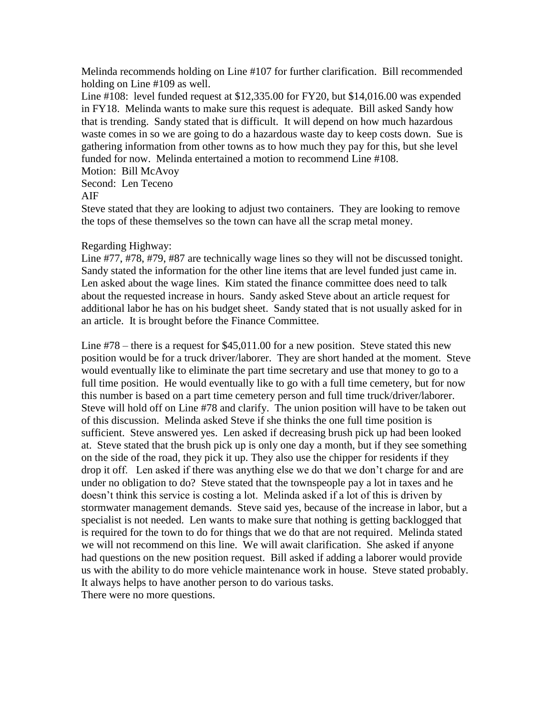Melinda recommends holding on Line #107 for further clarification. Bill recommended holding on Line #109 as well.

Line #108: level funded request at \$12,335.00 for FY20, but \$14,016.00 was expended in FY18. Melinda wants to make sure this request is adequate. Bill asked Sandy how that is trending. Sandy stated that is difficult. It will depend on how much hazardous waste comes in so we are going to do a hazardous waste day to keep costs down. Sue is gathering information from other towns as to how much they pay for this, but she level funded for now. Melinda entertained a motion to recommend Line #108.

Motion: Bill McAvoy

Second: Len Teceno

## AIF

Steve stated that they are looking to adjust two containers. They are looking to remove the tops of these themselves so the town can have all the scrap metal money.

## Regarding Highway:

Line #77, #78, #79, #87 are technically wage lines so they will not be discussed tonight. Sandy stated the information for the other line items that are level funded just came in. Len asked about the wage lines. Kim stated the finance committee does need to talk about the requested increase in hours. Sandy asked Steve about an article request for additional labor he has on his budget sheet. Sandy stated that is not usually asked for in an article. It is brought before the Finance Committee.

Line #78 – there is a request for \$45,011.00 for a new position. Steve stated this new position would be for a truck driver/laborer. They are short handed at the moment. Steve would eventually like to eliminate the part time secretary and use that money to go to a full time position. He would eventually like to go with a full time cemetery, but for now this number is based on a part time cemetery person and full time truck/driver/laborer. Steve will hold off on Line #78 and clarify. The union position will have to be taken out of this discussion. Melinda asked Steve if she thinks the one full time position is sufficient. Steve answered yes. Len asked if decreasing brush pick up had been looked at. Steve stated that the brush pick up is only one day a month, but if they see something on the side of the road, they pick it up. They also use the chipper for residents if they drop it off. Len asked if there was anything else we do that we don't charge for and are under no obligation to do? Steve stated that the townspeople pay a lot in taxes and he doesn't think this service is costing a lot. Melinda asked if a lot of this is driven by stormwater management demands. Steve said yes, because of the increase in labor, but a specialist is not needed. Len wants to make sure that nothing is getting backlogged that is required for the town to do for things that we do that are not required. Melinda stated we will not recommend on this line. We will await clarification. She asked if anyone had questions on the new position request. Bill asked if adding a laborer would provide us with the ability to do more vehicle maintenance work in house. Steve stated probably. It always helps to have another person to do various tasks. There were no more questions.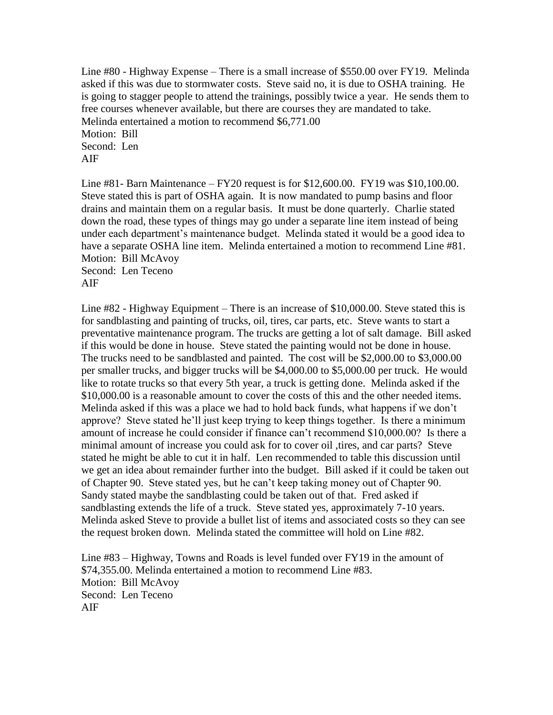Line #80 - Highway Expense – There is a small increase of \$550.00 over FY19. Melinda asked if this was due to stormwater costs. Steve said no, it is due to OSHA training. He is going to stagger people to attend the trainings, possibly twice a year. He sends them to free courses whenever available, but there are courses they are mandated to take. Melinda entertained a motion to recommend \$6,771.00 Motion: Bill Second: Len AIF

Line #81- Barn Maintenance – FY20 request is for  $$12,600.00$ . FY19 was  $$10,100.00$ . Steve stated this is part of OSHA again. It is now mandated to pump basins and floor drains and maintain them on a regular basis. It must be done quarterly. Charlie stated down the road, these types of things may go under a separate line item instead of being under each department's maintenance budget. Melinda stated it would be a good idea to have a separate OSHA line item. Melinda entertained a motion to recommend Line #81. Motion: Bill McAvoy Second: Len Teceno

AIF

Line #82 - Highway Equipment – There is an increase of \$10,000.00. Steve stated this is for sandblasting and painting of trucks, oil, tires, car parts, etc. Steve wants to start a preventative maintenance program. The trucks are getting a lot of salt damage. Bill asked if this would be done in house. Steve stated the painting would not be done in house. The trucks need to be sandblasted and painted. The cost will be \$2,000.00 to \$3,000.00 per smaller trucks, and bigger trucks will be \$4,000.00 to \$5,000.00 per truck. He would like to rotate trucks so that every 5th year, a truck is getting done. Melinda asked if the \$10,000.00 is a reasonable amount to cover the costs of this and the other needed items. Melinda asked if this was a place we had to hold back funds, what happens if we don't approve? Steve stated he'll just keep trying to keep things together. Is there a minimum amount of increase he could consider if finance can't recommend \$10,000.00? Is there a minimal amount of increase you could ask for to cover oil ,tires, and car parts? Steve stated he might be able to cut it in half. Len recommended to table this discussion until we get an idea about remainder further into the budget. Bill asked if it could be taken out of Chapter 90. Steve stated yes, but he can't keep taking money out of Chapter 90. Sandy stated maybe the sandblasting could be taken out of that. Fred asked if sandblasting extends the life of a truck. Steve stated yes, approximately 7-10 years. Melinda asked Steve to provide a bullet list of items and associated costs so they can see the request broken down. Melinda stated the committee will hold on Line #82.

Line #83 – Highway, Towns and Roads is level funded over FY19 in the amount of \$74,355.00. Melinda entertained a motion to recommend Line #83. Motion: Bill McAvoy Second: Len Teceno AIF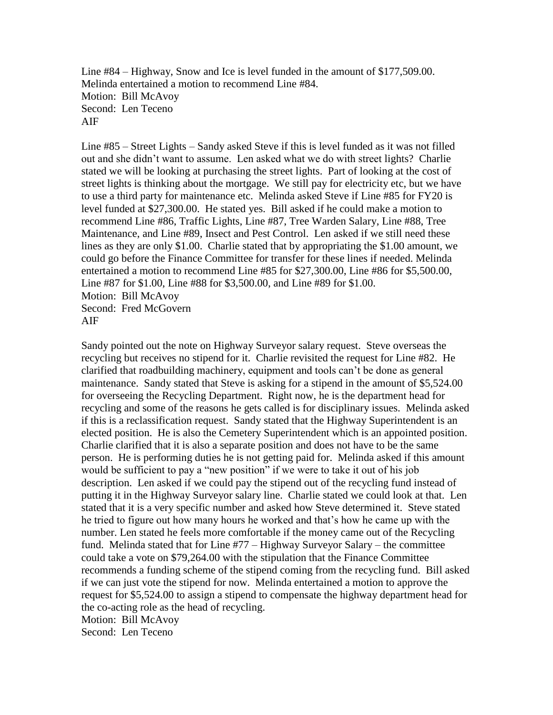Line #84 – Highway, Snow and Ice is level funded in the amount of \$177,509.00. Melinda entertained a motion to recommend Line #84. Motion: Bill McAvoy Second: Len Teceno AIF

Line #85 – Street Lights – Sandy asked Steve if this is level funded as it was not filled out and she didn't want to assume. Len asked what we do with street lights? Charlie stated we will be looking at purchasing the street lights. Part of looking at the cost of street lights is thinking about the mortgage. We still pay for electricity etc, but we have to use a third party for maintenance etc. Melinda asked Steve if Line #85 for FY20 is level funded at \$27,300.00. He stated yes. Bill asked if he could make a motion to recommend Line #86, Traffic Lights, Line #87, Tree Warden Salary, Line #88, Tree Maintenance, and Line #89, Insect and Pest Control. Len asked if we still need these lines as they are only \$1.00. Charlie stated that by appropriating the \$1.00 amount, we could go before the Finance Committee for transfer for these lines if needed. Melinda entertained a motion to recommend Line #85 for \$27,300.00, Line #86 for \$5,500.00, Line #87 for \$1.00, Line #88 for \$3,500.00, and Line #89 for \$1.00. Motion: Bill McAvoy Second: Fred McGovern

AIF

Sandy pointed out the note on Highway Surveyor salary request. Steve overseas the recycling but receives no stipend for it. Charlie revisited the request for Line #82. He clarified that roadbuilding machinery, equipment and tools can't be done as general maintenance. Sandy stated that Steve is asking for a stipend in the amount of \$5,524.00 for overseeing the Recycling Department. Right now, he is the department head for recycling and some of the reasons he gets called is for disciplinary issues. Melinda asked if this is a reclassification request. Sandy stated that the Highway Superintendent is an elected position. He is also the Cemetery Superintendent which is an appointed position. Charlie clarified that it is also a separate position and does not have to be the same person. He is performing duties he is not getting paid for. Melinda asked if this amount would be sufficient to pay a "new position" if we were to take it out of his job description. Len asked if we could pay the stipend out of the recycling fund instead of putting it in the Highway Surveyor salary line. Charlie stated we could look at that. Len stated that it is a very specific number and asked how Steve determined it. Steve stated he tried to figure out how many hours he worked and that's how he came up with the number. Len stated he feels more comfortable if the money came out of the Recycling fund. Melinda stated that for Line #77 – Highway Surveyor Salary – the committee could take a vote on \$79,264.00 with the stipulation that the Finance Committee recommends a funding scheme of the stipend coming from the recycling fund. Bill asked if we can just vote the stipend for now. Melinda entertained a motion to approve the request for \$5,524.00 to assign a stipend to compensate the highway department head for the co-acting role as the head of recycling. Motion: Bill McAvoy Second: Len Teceno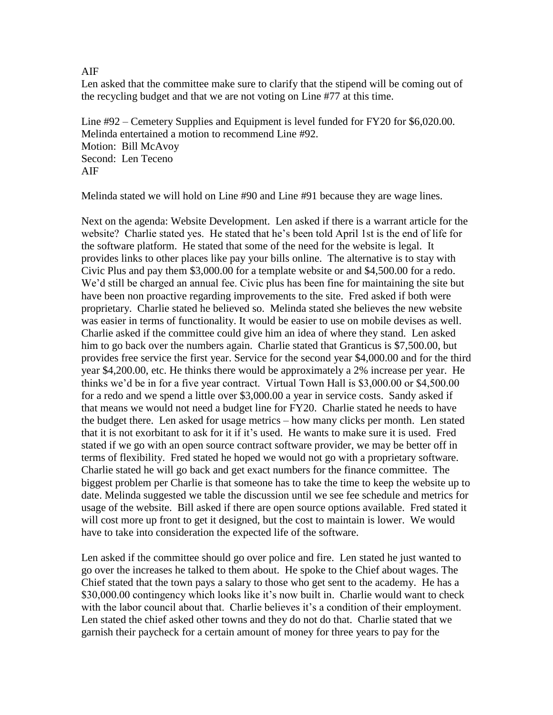AIF

Len asked that the committee make sure to clarify that the stipend will be coming out of the recycling budget and that we are not voting on Line #77 at this time.

Line #92 – Cemetery Supplies and Equipment is level funded for FY20 for \$6,020.00. Melinda entertained a motion to recommend Line #92. Motion: Bill McAvoy Second: Len Teceno AIF

Melinda stated we will hold on Line #90 and Line #91 because they are wage lines.

Next on the agenda: Website Development. Len asked if there is a warrant article for the website? Charlie stated yes. He stated that he's been told April 1st is the end of life for the software platform. He stated that some of the need for the website is legal. It provides links to other places like pay your bills online. The alternative is to stay with Civic Plus and pay them \$3,000.00 for a template website or and \$4,500.00 for a redo. We'd still be charged an annual fee. Civic plus has been fine for maintaining the site but have been non proactive regarding improvements to the site. Fred asked if both were proprietary. Charlie stated he believed so. Melinda stated she believes the new website was easier in terms of functionality. It would be easier to use on mobile devises as well. Charlie asked if the committee could give him an idea of where they stand. Len asked him to go back over the numbers again. Charlie stated that Granticus is \$7,500.00, but provides free service the first year. Service for the second year \$4,000.00 and for the third year \$4,200.00, etc. He thinks there would be approximately a 2% increase per year. He thinks we'd be in for a five year contract. Virtual Town Hall is \$3,000.00 or \$4,500.00 for a redo and we spend a little over \$3,000.00 a year in service costs. Sandy asked if that means we would not need a budget line for FY20. Charlie stated he needs to have the budget there. Len asked for usage metrics – how many clicks per month. Len stated that it is not exorbitant to ask for it if it's used. He wants to make sure it is used. Fred stated if we go with an open source contract software provider, we may be better off in terms of flexibility. Fred stated he hoped we would not go with a proprietary software. Charlie stated he will go back and get exact numbers for the finance committee. The biggest problem per Charlie is that someone has to take the time to keep the website up to date. Melinda suggested we table the discussion until we see fee schedule and metrics for usage of the website. Bill asked if there are open source options available. Fred stated it will cost more up front to get it designed, but the cost to maintain is lower. We would have to take into consideration the expected life of the software.

Len asked if the committee should go over police and fire. Len stated he just wanted to go over the increases he talked to them about. He spoke to the Chief about wages. The Chief stated that the town pays a salary to those who get sent to the academy. He has a \$30,000.00 contingency which looks like it's now built in. Charlie would want to check with the labor council about that. Charlie believes it's a condition of their employment. Len stated the chief asked other towns and they do not do that. Charlie stated that we garnish their paycheck for a certain amount of money for three years to pay for the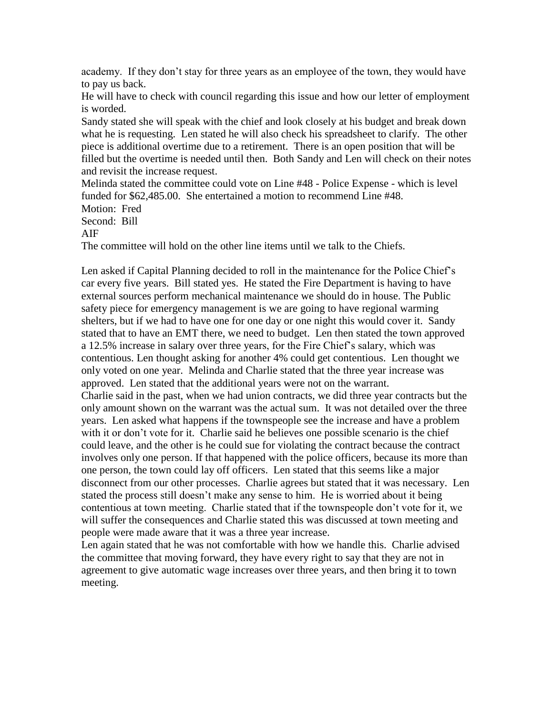academy. If they don't stay for three years as an employee of the town, they would have to pay us back.

He will have to check with council regarding this issue and how our letter of employment is worded.

Sandy stated she will speak with the chief and look closely at his budget and break down what he is requesting. Len stated he will also check his spreadsheet to clarify. The other piece is additional overtime due to a retirement. There is an open position that will be filled but the overtime is needed until then. Both Sandy and Len will check on their notes and revisit the increase request.

Melinda stated the committee could vote on Line #48 - Police Expense - which is level funded for \$62,485.00. She entertained a motion to recommend Line #48. Motion: Fred

Second: Bill

AIF

The committee will hold on the other line items until we talk to the Chiefs.

Len asked if Capital Planning decided to roll in the maintenance for the Police Chief's car every five years. Bill stated yes. He stated the Fire Department is having to have external sources perform mechanical maintenance we should do in house. The Public safety piece for emergency management is we are going to have regional warming shelters, but if we had to have one for one day or one night this would cover it. Sandy stated that to have an EMT there, we need to budget. Len then stated the town approved a 12.5% increase in salary over three years, for the Fire Chief's salary, which was contentious. Len thought asking for another 4% could get contentious. Len thought we only voted on one year. Melinda and Charlie stated that the three year increase was approved. Len stated that the additional years were not on the warrant. Charlie said in the past, when we had union contracts, we did three year contracts but the only amount shown on the warrant was the actual sum. It was not detailed over the three years. Len asked what happens if the townspeople see the increase and have a problem with it or don't vote for it. Charlie said he believes one possible scenario is the chief could leave, and the other is he could sue for violating the contract because the contract involves only one person. If that happened with the police officers, because its more than one person, the town could lay off officers. Len stated that this seems like a major disconnect from our other processes. Charlie agrees but stated that it was necessary. Len stated the process still doesn't make any sense to him. He is worried about it being contentious at town meeting. Charlie stated that if the townspeople don't vote for it, we will suffer the consequences and Charlie stated this was discussed at town meeting and people were made aware that it was a three year increase.

Len again stated that he was not comfortable with how we handle this. Charlie advised the committee that moving forward, they have every right to say that they are not in agreement to give automatic wage increases over three years, and then bring it to town meeting.